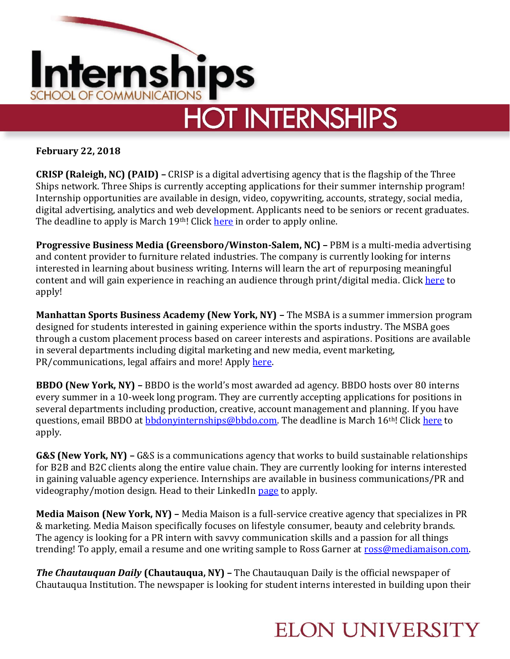

**February 22, 2018**

**CRISP (Raleigh, NC) (PAID) –** CRISP is a digital advertising agency that is the flagship of the Three Ships network. Three Ships is currently accepting applications for their summer internship program! Internship opportunities are available in design, video, copywriting, accounts, strategy, social media, digital advertising, analytics and web development. Applicants need to be seniors or recent graduates. The deadline to apply is March 19<sup>th</sup>! Click [here](https://crisp.agency/careers/) in order to apply online.

**Progressive Business Media (Greensboro/Winston-Salem, NC) –** PBM is a multi-media advertising and content provider to furniture related industries. The company is currently looking for interns interested in learning about business writing. Interns will learn the art of repurposing meaningful content and will gain experience in reaching an audience through print/digital media. Click [here](https://www.linkedin.com/jobs/view/548751245/) to apply!

**Manhattan Sports Business Academy (New York, NY) –** The MSBA is a summer immersion program designed for students interested in gaining experience within the sports industry. The MSBA goes through a custom placement process based on career interests and aspirations. Positions are available in several departments including digital marketing and new media, event marketing, PR/communications, legal affairs and more! Apply [here.](http://gomsba.com/msba-2018/)

**BBDO (New York, NY) –** BBDO is the world's most awarded ad agency. BBDO hosts over 80 interns every summer in a 10-week long program. They are currently accepting applications for positions in several departments including production, creative, account management and planning. If you have questions, email BBDO at **bbdonyinternships@bbdo.com**. The deadline is March 16<sup>th!</sup> Clic[k here](https://internatbbdo.recruiterbox.com/) to apply.

**G&S (New York, NY) –** G&S is a communications agency that works to build sustainable relationships for B2B and B2C clients along the entire value chain. They are currently looking for interns interested in gaining valuable agency experience. Internships are available in business communications/PR and videography/motion design. Head to their LinkedIn [page](https://www.linkedin.com/jobs/view/544234549/) to apply.

**Media Maison (New York, NY) –** Media Maison is a full-service creative agency that specializes in PR & marketing. Media Maison specifically focuses on lifestyle consumer, beauty and celebrity brands. The agency is looking for a PR intern with savvy communication skills and a passion for all things trending! To apply, email a resume and one writing sample to Ross Garner at [ross@mediamaison.com.](mailto:ross@mediamaison.com)

*The Chautauquan Daily* **(Chautauqua, NY) –** The Chautauquan Daily is the official newspaper of Chautauqua Institution. The newspaper is looking for student interns interested in building upon their

## **ELON UNIVERSITY**